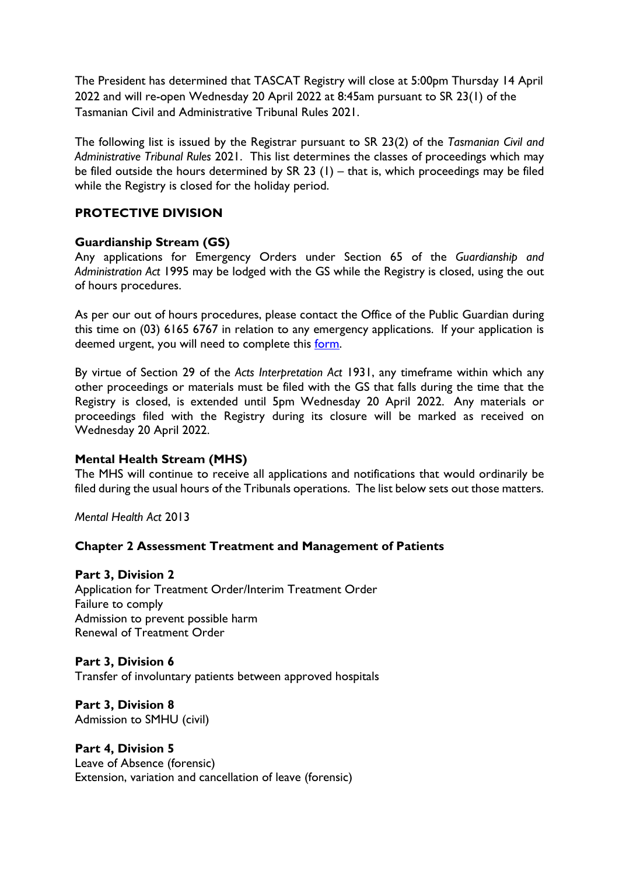The President has determined that TASCAT Registry will close at 5:00pm Thursday 14 April 2022 and will re-open Wednesday 20 April 2022 at 8:45am pursuant to SR 23(1) of the Tasmanian Civil and Administrative Tribunal Rules 2021.

The following list is issued by the Registrar pursuant to SR 23(2) of the *Tasmanian Civil and Administrative Tribunal Rules* 2021. This list determines the classes of proceedings which may be filed outside the hours determined by SR 23 (1) – that is, which proceedings may be filed while the Registry is closed for the holiday period.

# **PROTECTIVE DIVISION**

## **Guardianship Stream (GS)**

Any applications for Emergency Orders under Section 65 of the *Guardianship and Administration Act* 1995 may be lodged with the GS while the Registry is closed, using the out of hours procedures.

As per our out of hours procedures, please contact the Office of the Public Guardian during this time on (03) 6165 6767 in relation to any emergency applications. If your application is deemed urgent, you will need to complete this [form.](https://www.tascat.tas.gov.au/__data/assets/pdf_file/0011/637049/Application-for-Emergency-Request.pdf)

By virtue of Section 29 of the *Acts Interpretation Act* 1931, any timeframe within which any other proceedings or materials must be filed with the GS that falls during the time that the Registry is closed, is extended until 5pm Wednesday 20 April 2022. Any materials or proceedings filed with the Registry during its closure will be marked as received on Wednesday 20 April 2022.

### **Mental Health Stream (MHS)**

The MHS will continue to receive all applications and notifications that would ordinarily be filed during the usual hours of the Tribunals operations. The list below sets out those matters.

*Mental Health Act* 2013

### **Chapter 2 Assessment Treatment and Management of Patients**

### **Part 3, Division 2**

Application for Treatment Order/Interim Treatment Order Failure to comply Admission to prevent possible harm Renewal of Treatment Order

#### **Part 3, Division 6**

Transfer of involuntary patients between approved hospitals

**Part 3, Division 8** Admission to SMHU (civil)

# **Part 4, Division 5**

Leave of Absence (forensic) Extension, variation and cancellation of leave (forensic)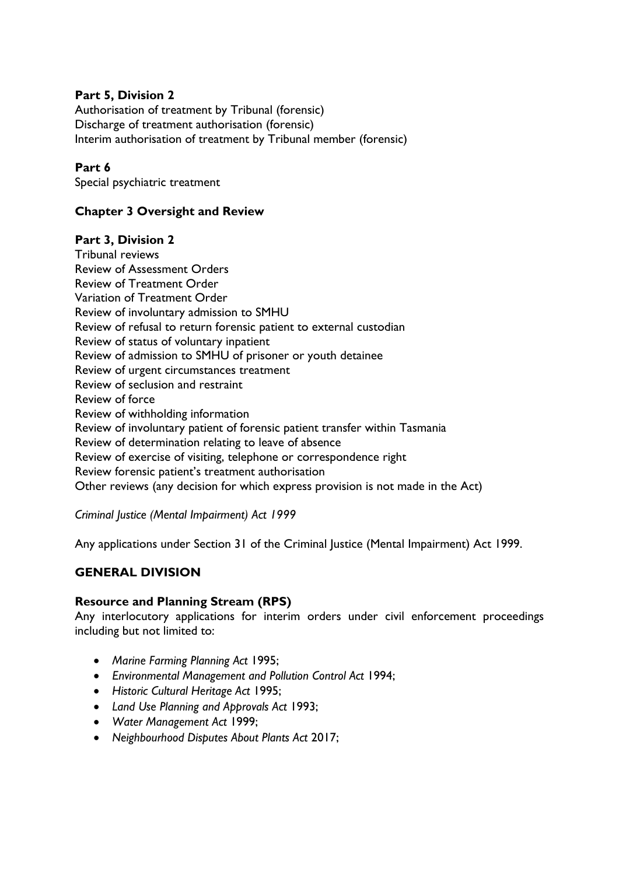### **Part 5, Division 2**

Authorisation of treatment by Tribunal (forensic) Discharge of treatment authorisation (forensic) Interim authorisation of treatment by Tribunal member (forensic)

### **Part 6**

Special psychiatric treatment

## **Chapter 3 Oversight and Review**

### **Part 3, Division 2**

Tribunal reviews Review of Assessment Orders Review of Treatment Order Variation of Treatment Order Review of involuntary admission to SMHU Review of refusal to return forensic patient to external custodian Review of status of voluntary inpatient Review of admission to SMHU of prisoner or youth detainee Review of urgent circumstances treatment Review of seclusion and restraint Review of force Review of withholding information Review of involuntary patient of forensic patient transfer within Tasmania Review of determination relating to leave of absence Review of exercise of visiting, telephone or correspondence right Review forensic patient's treatment authorisation Other reviews (any decision for which express provision is not made in the Act)

*Criminal Justice (Mental Impairment) Act 1999*

Any applications under Section 31 of the Criminal Justice (Mental Impairment) Act 1999.

# **GENERAL DIVISION**

### **Resource and Planning Stream (RPS)**

Any interlocutory applications for interim orders under civil enforcement proceedings including but not limited to:

- *Marine Farming Planning Act* 1995;
- *Environmental Management and Pollution Control Act* 1994;
- *Historic Cultural Heritage Act* 1995;
- *Land Use Planning and Approvals Act* 1993;
- *Water Management Act* 1999;
- *Neighbourhood Disputes About Plants Act* 2017;